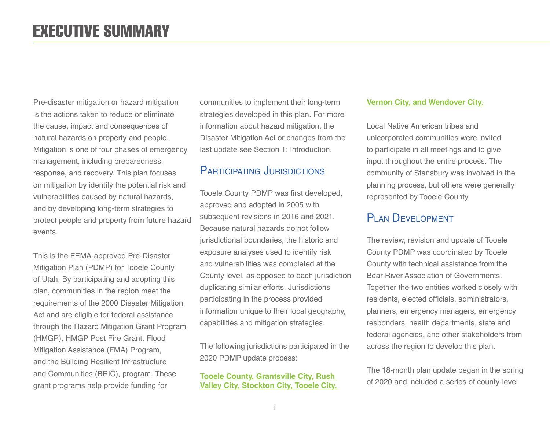Pre-disaster mitigation or hazard mitigation is the actions taken to reduce or eliminate the cause, impact and consequences of natural hazards on property and people. Mitigation is one of four phases of emergency management, including preparedness, response, and recovery. This plan focuses on mitigation by identify the potential risk and vulnerabilities caused by natural hazards, and by developing long-term strategies to protect people and property from future hazard events.

This is the FEMA-approved Pre-Disaster Mitigation Plan (PDMP) for Tooele County of Utah. By participating and adopting this plan, communities in the region meet the requirements of the 2000 Disaster Mitigation Act and are eligible for federal assistance through the Hazard Mitigation Grant Program (HMGP), HMGP Post Fire Grant, Flood Mitigation Assistance (FMA) Program, and the Building Resilient Infrastructure and Communities (BRIC), program. These grant programs help provide funding for

communities to implement their long-term strategies developed in this plan. For more information about hazard mitigation, the Disaster Mitigation Act or changes from the last update see Section 1: Introduction.

#### PARTICIPATING JURISDICTIONS

Tooele County PDMP was first developed, approved and adopted in 2005 with subsequent revisions in 2016 and 2021. Because natural hazards do not follow jurisdictional boundaries, the historic and exposure analyses used to identify risk and vulnerabilities was completed at the County level, as opposed to each jurisdiction duplicating similar efforts. Jurisdictions participating in the process provided information unique to their local geography, capabilities and mitigation strategies.

The following jurisdictions participated in the 2020 PDMP update process:

#### **Tooele County, Grantsville City, Rush Valley City, Stockton City, Tooele City,**

#### **Vernon City, and Wendover City.**

Local Native American tribes and unicorporated communities were invited to participate in all meetings and to give input throughout the entire process. The community of Stansbury was involved in the planning process, but others were generally represented by Tooele County.

#### PLAN DEVELOPMENT

The review, revision and update of Tooele County PDMP was coordinated by Tooele County with technical assistance from the Bear River Association of Governments. Together the two entities worked closely with residents, elected officials, administrators, planners, emergency managers, emergency responders, health departments, state and federal agencies, and other stakeholders from across the region to develop this plan.

The 18-month plan update began in the spring of 2020 and included a series of county-level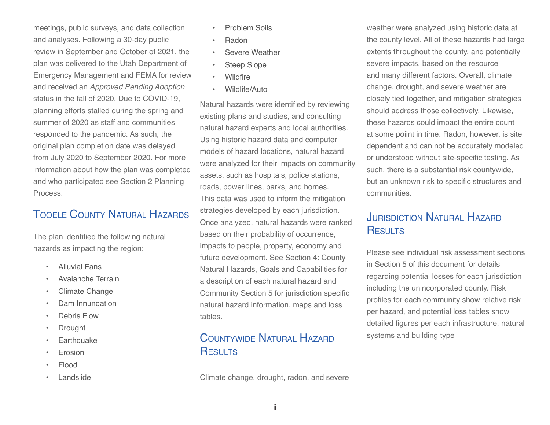meetings, public surveys, and data collection and analyses. Following a 30-day public review in September and October of 2021, the plan was delivered to the Utah Department of Emergency Management and FEMA for review and received an *Approved Pending Adoption* status in the fall of 2020. Due to COVID-19, planning efforts stalled during the spring and summer of 2020 as staff and communities responded to the pandemic. As such, the original plan completion date was delayed from July 2020 to September 2020. For more information about how the plan was completed and who participated see Section 2 Planning Process.

# TOOFLE COUNTY NATURAL HAZARDS

The plan identified the following natural hazards as impacting the region:

- **•** Alluvial Fans
- ڞ Avalanche Terrain
- Climate Change
- Dam Innundation
- Debris Flow
- Drought
- **Earthquake**
- **Erosion**
- Flood ڞ
- Landslide
- Problem Soils
- Radon
- Severe Weather
- Steep Slope
- Wildfire
- Wildlife/Auto

Natural hazards were identified by reviewing existing plans and studies, and consulting natural hazard experts and local authorities. Using historic hazard data and computer models of hazard locations, natural hazard were analyzed for their impacts on community assets, such as hospitals, police stations, roads, power lines, parks, and homes. This data was used to inform the mitigation strategies developed by each jurisdiction. Once analyzed, natural hazards were ranked based on their probability of occurrence, impacts to people, property, economy and future development. See Section 4: County Natural Hazards, Goals and Capabilities for a description of each natural hazard and Community Section 5 for jurisdiction specific natural hazard information, maps and loss tables.

# COUNTYWIDE NATURAL HAZARD **RESULTS**

Climate change, drought, radon, and severe

weather were analyzed using historic data at the county level. All of these hazards had large extents throughout the county, and potentially severe impacts, based on the resource and many different factors. Overall, climate change, drought, and severe weather are closely tied together, and mitigation strategies should address those collectively. Likewise, these hazards could impact the entire count at some poiint in time. Radon, however, is site dependent and can not be accurately modeled or understood without site-specific testing. As such, there is a substantial risk countywide, but an unknown risk to specific structures and communities.

# **JURISDICTION NATURAL HAZARD** RESULTS

Please see individual risk assessment sections in Section 5 of this document for details regarding potential losses for each jurisdiction including the unincorporated county. Risk profiles for each community show relative risk per hazard, and potential loss tables show detailed figures per each infrastructure, natural systems and building type